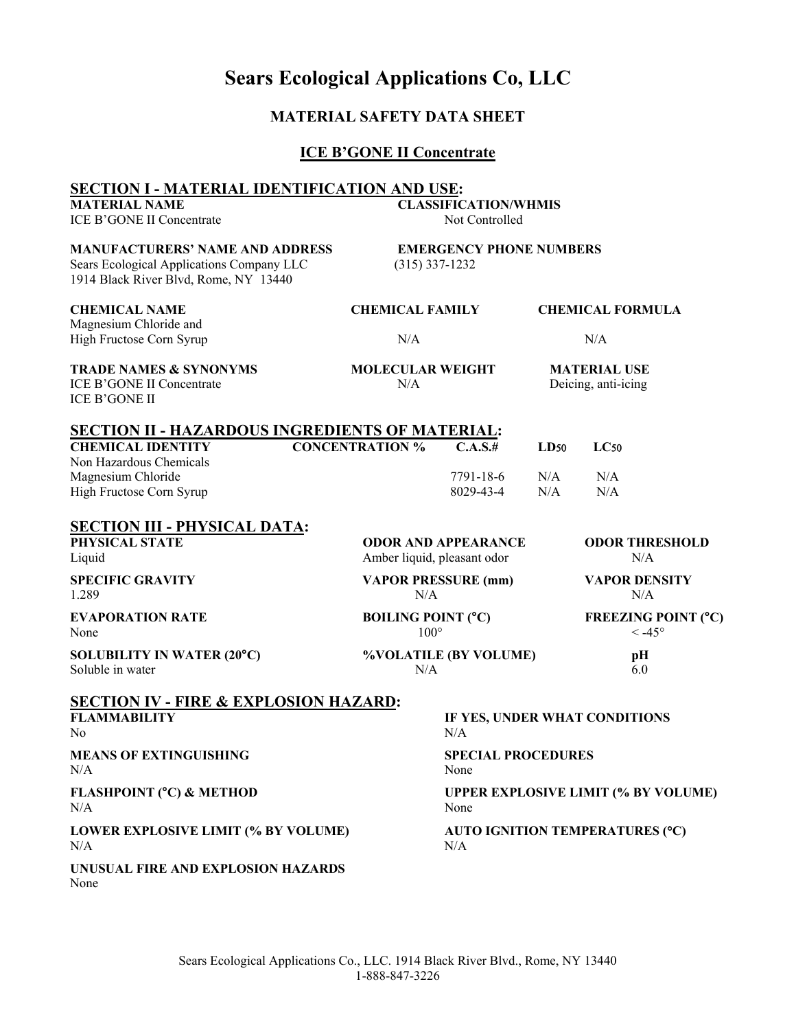# **Sears Ecological Applications Co, LLC**

## **MATERIAL SAFETY DATA SHEET**

## **ICE B'GONE II Concentrate**

| <b>SECTION I - MATERIAL IDENTIFICATION AND USE:</b>                                                                          |                             |                                                    |            |                                            |                                               |  |
|------------------------------------------------------------------------------------------------------------------------------|-----------------------------|----------------------------------------------------|------------|--------------------------------------------|-----------------------------------------------|--|
| <b>MATERIAL NAME</b><br><b>ICE B'GONE II Concentrate</b>                                                                     |                             | <b>CLASSIFICATION/WHMIS</b><br>Not Controlled      |            |                                            |                                               |  |
| <b>MANUFACTURERS' NAME AND ADDRESS</b><br>Sears Ecological Applications Company LLC<br>1914 Black River Blvd, Rome, NY 13440 |                             | <b>EMERGENCY PHONE NUMBERS</b><br>$(315)$ 337-1232 |            |                                            |                                               |  |
| <b>CHEMICAL NAME</b><br>Magnesium Chloride and                                                                               |                             | <b>CHEMICAL FAMILY</b>                             |            | <b>CHEMICAL FORMULA</b>                    |                                               |  |
| High Fructose Corn Syrup                                                                                                     | N/A                         |                                                    |            | N/A                                        |                                               |  |
| <b>TRADE NAMES &amp; SYNONYMS</b><br>ICE B'GONE II Concentrate<br><b>ICE B'GONE II</b>                                       | N/A                         | <b>MOLECULAR WEIGHT</b>                            |            | <b>MATERIAL USE</b><br>Deicing, anti-icing |                                               |  |
| <b>SECTION II - HAZARDOUS INGREDIENTS OF MATERIAL:</b>                                                                       |                             |                                                    |            |                                            |                                               |  |
| <b>CHEMICAL IDENTITY</b><br>Non Hazardous Chemicals                                                                          | <b>CONCENTRATION %</b>      | C.A.S.#                                            | LD50       | LC50                                       |                                               |  |
| Magnesium Chloride<br>High Fructose Corn Syrup                                                                               |                             | 7791-18-6<br>8029-43-4                             | N/A<br>N/A | N/A<br>N/A                                 |                                               |  |
| <b>SECTION III - PHYSICAL DATA:</b><br>PHYSICAL STATE<br>Liquid                                                              | Amber liquid, pleasant odor | <b>ODOR AND APPEARANCE</b>                         |            | N/A                                        | <b>ODOR THRESHOLD</b>                         |  |
| <b>SPECIFIC GRAVITY</b><br>1.289                                                                                             |                             | <b>VAPOR PRESSURE (mm)</b><br>N/A                  |            | <b>VAPOR DENSITY</b><br>N/A                |                                               |  |
| <b>EVAPORATION RATE</b><br>None                                                                                              |                             | <b>BOILING POINT (°C)</b><br>$100^{\circ}$         |            |                                            | <b>FREEZING POINT (°C)</b><br>$< -45^{\circ}$ |  |
| <b>SOLUBILITY IN WATER (20°C)</b><br>Soluble in water                                                                        |                             | %VOLATILE (BY VOLUME)<br>N/A                       |            | pH<br>6.0                                  |                                               |  |
| <b>SECTION IV - FIRE &amp; EXPLOSION HAZARD:</b><br><b>FLAMMABILITY</b><br>N <sub>o</sub>                                    |                             | IF YES, UNDER WHAT CONDITIONS<br>N/A               |            |                                            |                                               |  |
| <b>MEANS OF EXTINGUISHING</b><br>N/A                                                                                         |                             | <b>SPECIAL PROCEDURES</b><br>None                  |            |                                            |                                               |  |
| <b>FLASHPOINT (°C) &amp; METHOD</b><br>N/A                                                                                   |                             | <b>UPPER EXPLOSIVE LIMIT (% BY VOLUME)</b><br>None |            |                                            |                                               |  |
| LOWER EXPLOSIVE LIMIT (% BY VOLUME)<br>N/A                                                                                   |                             | AUTO IGNITION TEMPERATURES (°C)<br>N/A             |            |                                            |                                               |  |
| UNUSUAL FIRE AND EXPLOSION HAZARDS<br>None                                                                                   |                             |                                                    |            |                                            |                                               |  |